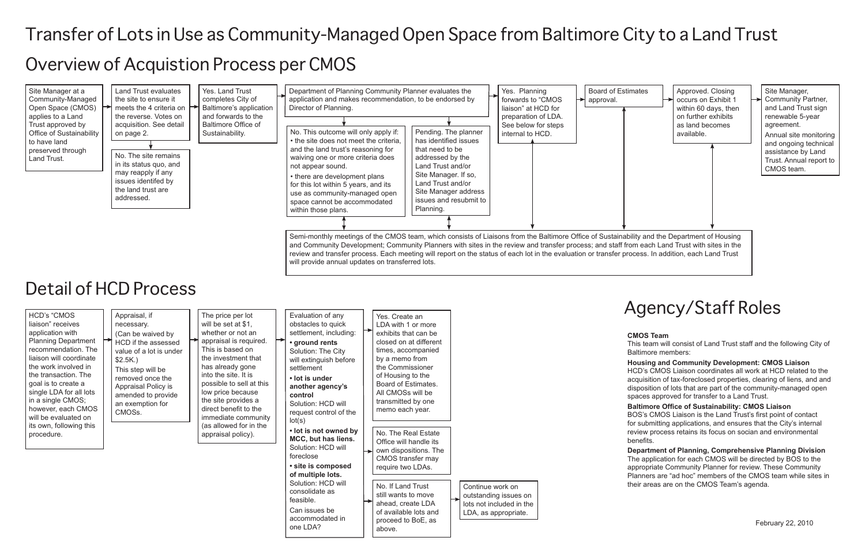# Transfer of Lots in Use as Community-Managed Open Space from Baltimore City to a Land Trust

# Overview of Acquistion Process per CMOS



## Detail of HCD Process

| <b>HCD's "CMOS</b><br>Appraisal, if<br>liaison" receives<br>necessary.<br>application with<br>(Can be waived by<br><b>Planning Department</b><br>HCD if the assessed<br>recommendation. The<br>value of a lot is under<br>liaison will coordinate<br>$$2.5K.$ )<br>the work involved in<br>This step will be<br>the transaction. The<br>removed once the<br>goal is to create a<br>Appraisal Policy is<br>single LDA for all lots<br>amended to provide<br>in a single CMOS;<br>an exemption for<br>however, each CMOS<br>CMOSs.<br>will be evaluated on<br>its own, following this | The price per lot<br>Evaluation of any<br>will be set at \$1,<br>obstacles to quick<br>whether or not an<br>settlement, including:<br>appraisal is required.<br>• ground rents<br>This is based on<br>Solution: The City<br>the investment that<br>will extinguish before<br>has already gone<br>settlement<br>into the site. It is<br>• lot is under<br>possible to sell at this<br>another agency's<br>low price because<br>control<br>the site provides a<br>Solution: HCD will<br>direct benefit to the<br>request control of the<br>immediate community<br>lot(s)<br>(as allowed for in the<br>• lot is not owned by | Yes. Create an<br>LDA with 1 or more<br>exhibits that can be<br>closed on at different<br>times, accompanied<br>by a memo from<br>the Commissioner<br>of Housing to the<br>Board of Estimates.<br>All CMOSs will be<br>transmitted by one<br>memo each year. |                                                                                               | A<br><b>CM</b><br><b>This</b><br><b>Balt</b><br>Hou<br><b>HCI</b><br>acq<br>disp<br>spa<br><b>Balt</b><br>BO <sub>3</sub><br>for s<br>revi |
|-------------------------------------------------------------------------------------------------------------------------------------------------------------------------------------------------------------------------------------------------------------------------------------------------------------------------------------------------------------------------------------------------------------------------------------------------------------------------------------------------------------------------------------------------------------------------------------|---------------------------------------------------------------------------------------------------------------------------------------------------------------------------------------------------------------------------------------------------------------------------------------------------------------------------------------------------------------------------------------------------------------------------------------------------------------------------------------------------------------------------------------------------------------------------------------------------------------------------|--------------------------------------------------------------------------------------------------------------------------------------------------------------------------------------------------------------------------------------------------------------|-----------------------------------------------------------------------------------------------|--------------------------------------------------------------------------------------------------------------------------------------------|
| procedure.                                                                                                                                                                                                                                                                                                                                                                                                                                                                                                                                                                          | appraisal policy).<br>MCC, but has liens.<br>Solution: HCD will<br>foreclose<br>· site is composed<br>of multiple lots.<br>Solution: HCD will                                                                                                                                                                                                                                                                                                                                                                                                                                                                             | No. The Real Estate<br>Office will handle its<br>own dispositions. The<br>CMOS transfer may<br>require two LDAs.                                                                                                                                             |                                                                                               | ben<br>Dep<br>The<br>app<br>Plar                                                                                                           |
|                                                                                                                                                                                                                                                                                                                                                                                                                                                                                                                                                                                     | consolidate as<br>feasible.<br>Can issues be<br>accommodated in<br>one LDA?                                                                                                                                                                                                                                                                                                                                                                                                                                                                                                                                               | No. If Land Trust<br>still wants to move<br>ahead, create LDA<br>of available lots and<br>proceed to BoE, as<br>above.                                                                                                                                       | Continue work on<br>outstanding issues on<br>lots not included in the<br>LDA, as appropriate. | thei                                                                                                                                       |

# Agency/Staff Roles

#### OS Team

s team will consist of Land Trust staff and the following City of imore members:

**using and Community Development: CMOS Liaison** D's CMOS Liaison coordinates all work at HCD related to the uisition of tax-foreclosed properties, clearing of liens, and and osition of lots that are part of the community-managed open ces approved for transfer to a Land Trust.

timore Office of Sustainability: CMOS Liaison S's CMOS Liaison is the Land Trust's first point of contact submitting applications, and ensures that the City's internal lew process retains its focus on socian and environmental efits.

artment of Planning, Comprehensive Planning Division application for each CMOS will be directed by BOS to the ropriate Community Planner for review. These Community nners are "ad hoc" members of the CMOS team while sites in r areas are on the CMOS Team's agenda.